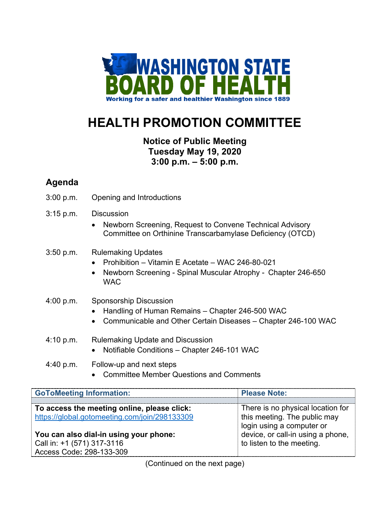

# **HEALTH PROMOTION COMMITTEE**

## **Notice of Public Meeting Tuesday May 19, 2020 3:00 p.m. – 5:00 p.m.**

## **Agenda**

3:00 p.m. Opening and Introductions

#### 3:15 p.m. Discussion

• Newborn Screening, Request to Convene Technical Advisory Committee on Orthinine Transcarbamylase Deficiency (OTCD)

### 3:50 p.m. Rulemaking Updates

- Prohibition Vitamin E Acetate WAC 246-80-021
- Newborn Screening Spinal Muscular Atrophy Chapter 246-650 **WAC**
- 4:00 p.m. Sponsorship Discussion
	- Handling of Human Remains Chapter 246-500 WAC
	- Communicable and Other Certain Diseases Chapter 246-100 WAC
- 4:10 p.m. Rulemaking Update and Discussion
	- Notifiable Conditions Chapter 246-101 WAC
- 4:40 p.m. Follow-up and next steps
	- Committee Member Questions and Comments

| <b>GoToMeeting Information:</b>               | <b>Please Note:</b>               |
|-----------------------------------------------|-----------------------------------|
| To access the meeting online, please click:   | There is no physical location for |
| https://global.gotomeeting.com/join/298133309 | this meeting. The public may      |
| You can also dial-in using your phone:        | login using a computer or         |
| Call in: +1 (571) 317-3116                    | device, or call-in using a phone, |
| Access Code: 298-133-309                      | to listen to the meeting.         |